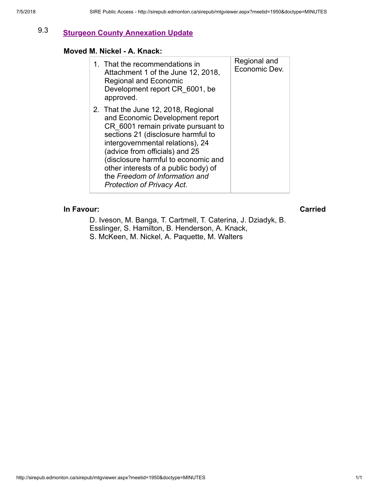# 9.3 [Sturgeon County Annexation Update](http://sirepub.edmonton.ca/sirepub/agdocs.aspx?doctype=minutes&itemid=66628)

### Moved M. Nickel - A. Knack:

| 1. That the recommendations in<br>Attachment 1 of the June 12, 2018,<br><b>Regional and Economic</b><br>Development report CR 6001, be<br>approved.                                                                                                                                                                                                                            | Regional and<br>Economic Dev. |
|--------------------------------------------------------------------------------------------------------------------------------------------------------------------------------------------------------------------------------------------------------------------------------------------------------------------------------------------------------------------------------|-------------------------------|
| 2. That the June 12, 2018, Regional<br>and Economic Development report<br>CR 6001 remain private pursuant to<br>sections 21 (disclosure harmful to<br>intergovernmental relations), 24<br>(advice from officials) and 25<br>(disclosure harmful to economic and<br>other interests of a public body) of<br>the Freedom of Information and<br><b>Protection of Privacy Act.</b> |                               |

## In Favour: Carried

D. Iveson, M. Banga, T. Cartmell, T. Caterina, J. Dziadyk, B. Esslinger, S. Hamilton, B. Henderson, A. Knack, S. McKeen, M. Nickel, A. Paquette, M. Walters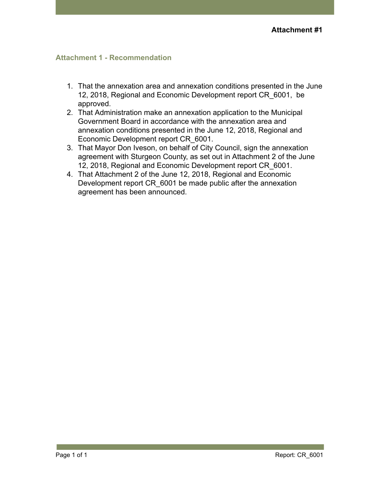# Attachment 1 - Recommendation

- 1. That the annexation area and annexation conditions presented in the June 12, 2018, Regional and Economic Development report CR\_6001, be approved.
- 2. That Administration make an annexation application to the Municipal Government Board in accordance with the annexation area and annexation conditions presented in the June 12, 2018, Regional and Economic Development report CR\_6001.
- 3. That Mayor Don Iveson, on behalf of City Council, sign the annexation agreement with Sturgeon County, as set out in Attachment 2 of the June 12, 2018, Regional and Economic Development report CR\_6001.
- 4. That Attachment 2 of the June 12, 2018, Regional and Economic Development report CR 6001 be made public after the annexation agreement has been announced.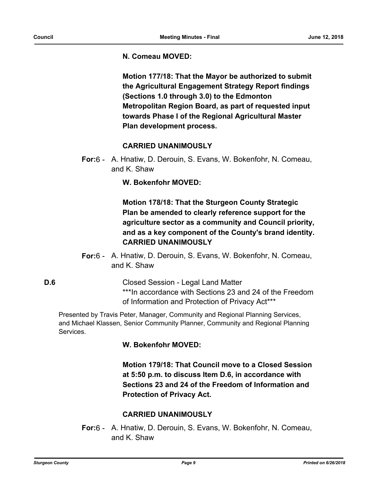#### **N. Comeau MOVED:**

**Motion 177/18: That the Mayor be authorized to submit the Agricultural Engagement Strategy Report findings (Sections 1.0 through 3.0) to the Edmonton Metropolitan Region Board, as part of requested input towards Phase I of the Regional Agricultural Master Plan development process.**

#### **CARRIED UNANIMOUSLY**

For:6 - A. Hnatiw, D. Derouin, S. Evans, W. Bokenfohr, N. Comeau, and K. Shaw

**W. Bokenfohr MOVED:**

**Motion 178/18: That the Sturgeon County Strategic Plan be amended to clearly reference support for the agriculture sector as a community and Council priority, and as a key component of the County's brand identity. CARRIED UNANIMOUSLY**

- For:6 A. Hnatiw, D. Derouin, S. Evans, W. Bokenfohr, N. Comeau, and K. Shaw
- **D.6** Closed Session Legal Land Matter \*\*\*In accordance with Sections 23 and 24 of the Freedom of Information and Protection of Privacy Act\*\*\*

Presented by Travis Peter, Manager, Community and Regional Planning Services, and Michael Klassen, Senior Community Planner, Community and Regional Planning Services.

## **W. Bokenfohr MOVED:**

**Motion 179/18: That Council move to a Closed Session at 5:50 p.m. to discuss Item D.6, in accordance with Sections 23 and 24 of the Freedom of Information and Protection of Privacy Act.**

## **CARRIED UNANIMOUSLY**

For:6 - A. Hnatiw, D. Derouin, S. Evans, W. Bokenfohr, N. Comeau, and K. Shaw